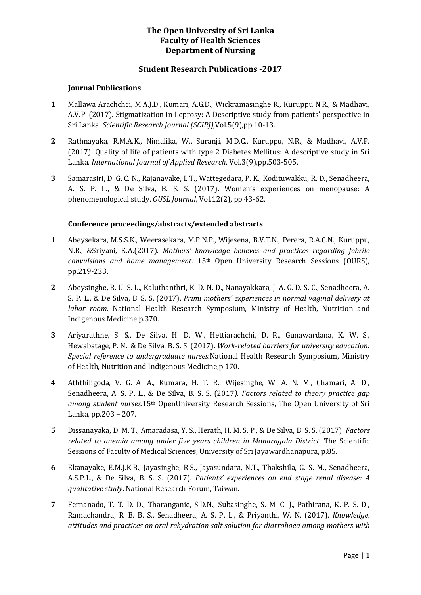### **The Open University of Sri Lanka Faculty of Health Sciences Department of Nursing**

### **Student Research Publications -2017**

#### **Journal Publications**

- **1** Mallawa Arachchci, M.A.J.D., Kumari, A.G.D., Wickramasinghe R., Kuruppu N.R., & Madhavi, A.V.P. (2017). Stigmatization in Leprosy: A Descriptive study from patients' perspective in Sri Lanka. *Scientific Research Journal (SCIRJ),*Vol.5(9),pp.10-13.
- **2** Rathnayaka, R.M.A.K., Nimalika, W., Suranji, M.D.C., Kuruppu, N.R., & Madhavi, A.V.P. (2017). Quality of life of patients with type 2 Diabetes Mellitus: A descriptive study in Sri Lanka. *International Journal of Applied Research*, Vol.3(9),pp.503-505.
- **3** Samarasiri, D. G. C. N., Rajanayake, I. T., Wattegedara, P. K., Kodituwakku, R. D., Senadheera, A. S. P. L., & De Silva, B. S. S. (2017). Women's experiences on menopause: A phenomenological study. *OUSL Journal*, Vol.12(2), pp.43-62.

### **Conference proceedings/abstracts/extended abstracts**

- **1** Abeysekara, M.S.S.K., Weerasekara, M.P.N.P., Wijesena, B.V.T.N., Perera, R.A.C.N., Kuruppu, N.R., &Sriyani, K.A.(2017). *Mothers' knowledge believes and practices regarding febrile convulsions and home management*. 15th Open University Research Sessions (OURS), pp.219-233.
- **2** Abeysinghe, R. U. S. L., Kaluthanthri, K. D. N. D., Nanayakkara, J. A. G. D. S. C., Senadheera, A. S. P. L., & De Silva, B. S. S. (2017). *Primi mothers' experiences in normal vaginal delivery at labor room.* National Health Research Symposium, Ministry of Health, Nutrition and Indigenous Medicine,p.370.
- **3** Ariyarathne, S. S., De Silva, H. D. W., Hettiarachchi, D. R., Gunawardana, K. W. S., Hewabatage, P. N., & De Silva, B. S. S. (2017). *Work-related barriers for university education: Special reference to undergraduate nurses.*National Health Research Symposium, Ministry of Health, Nutrition and Indigenous Medicine,p.170.
- **4** Aththiligoda, V. G. A. A., Kumara, H. T. R., Wijesinghe, W. A. N. M., Chamari, A. D., Senadheera, A. S. P. L., & De Silva, B. S. S. (2017*). Factors related to theory practice gap among student nurses.*15th OpenUniversity Research Sessions, The Open University of Sri Lanka, pp.203 – 207.
- **5** Dissanayaka, D. M. T., Amaradasa, Y. S., Herath, H. M. S. P., & De Silva, B. S. S. (2017). *Factors related to anemia among under five years children in Monaragala District*. The Scientific Sessions of Faculty of Medical Sciences, University of Sri Jayawardhanapura, p.85.
- **6** Ekanayake, E.M.J.K.B., Jayasinghe, R.S., Jayasundara, N.T., Thakshila, G. S. M., Senadheera, A.S.P.L., & De Silva, B. S. S. (2017). *Patients' experiences on end stage renal disease: A qualitative study*. National Research Forum, Taiwan.
- **7** Fernanado, T. T. D. D., Tharanganie, S.D.N., Subasinghe, S. M. C. J., Pathirana, K. P. S. D., Ramachandra, R. B. B. S., Senadheera, A. S. P. L., & Priyanthi, W. N. (2017). *Knowledge, attitudes and practices on oral rehydration salt solution for diarrohoea among mothers with*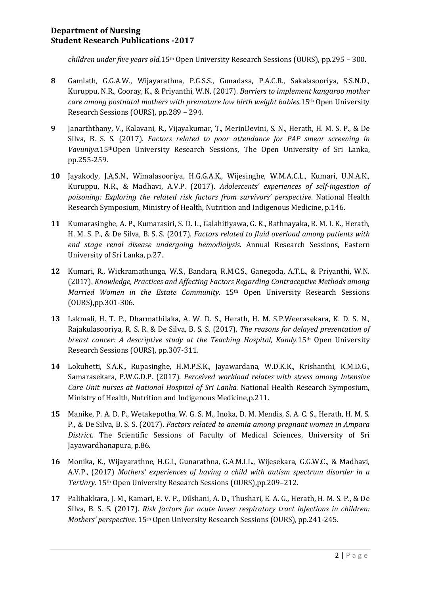# **Department of Nursing Student Research Publications -2017**

*children under five years old.*15th Open University Research Sessions (OURS), pp.295 – 300.

- **8** Gamlath, G.G.A.W., Wijayarathna, P.G.S.S., Gunadasa, P.A.C.R., Sakalasooriya, S.S.N.D., Kuruppu, N.R., Cooray, K., & Priyanthi, W.N. (2017). *Barriers to implement kangaroo mother care among postnatal mothers with premature low birth weight babies.*15th Open University Research Sessions (OURS), pp.289 – 294.
- **9** Janarththany, V., Kalavani, R., Vijayakumar, T., MerinDevini, S. N., Herath, H. M. S. P., & De Silva, B. S. S. (2017). *Factors related to poor attendance for PAP smear screening in Vavuniya.*15thOpen University Research Sessions, The Open University of Sri Lanka, pp.255-259.
- **10** Jayakody, J.A.S.N., Wimalasooriya, H.G.G.A.K., Wijesinghe, W.M.A.C.L., Kumari, U.N.A.K., Kuruppu, N.R., & Madhavi, A.V.P. (2017). *Adolescents' experiences of self-ingestion of poisoning: Exploring the related risk factors from survivors' perspective*. National Health Research Symposium, Ministry of Health, Nutrition and Indigenous Medicine, p.146.
- **11** Kumarasinghe, A. P., Kumarasiri, S. D. L., Galahitiyawa, G. K., Rathnayaka, R. M. I. K., Herath, H. M. S. P., & De Silva, B. S. S. (2017). *Factors related to fluid overload among patients with end stage renal disease undergoing hemodialysis*. Annual Research Sessions, Eastern University of Sri Lanka, p.27.
- **12** Kumari, R., Wickramathunga, W.S., Bandara, R.M.C.S., Ganegoda, A.T.L., & Priyanthi, W.N. (2017). *Knowledge, Practices and Affecting Factors Regarding Contraceptive Methods among Married Women in the Estate Community*. 15th Open University Research Sessions (OURS),pp.301-306.
- **13** Lakmali, H. T. P., Dharmathilaka, A. W. D. S., Herath, H. M. S.P.Weerasekara, K. D. S. N., Rajakulasooriya, R. S. R. & De Silva, B. S. S. (2017). *The reasons for delayed presentation of breast cancer: A descriptive study at the Teaching Hospital, Kandy.*15th Open University Research Sessions (OURS), pp.307-311.
- **14** Lokuhetti, S.A.K., Rupasinghe, H.M.P.S.K., Jayawardana, W.D.K.K., Krishanthi, K.M.D.G., Samarasekara, P.W.G.D.P. (2017). *Perceived workload relates with stress among Intensive Care Unit nurses at National Hospital of Sri Lanka.* National Health Research Symposium, Ministry of Health, Nutrition and Indigenous Medicine,p.211.
- **15** Manike, P. A. D. P., Wetakepotha, W. G. S. M., Inoka, D. M. Mendis, S. A. C. S., Herath, H. M. S. P., & De Silva, B. S. S. (2017). *Factors related to anemia among pregnant women in Ampara District.* The Scientific Sessions of Faculty of Medical Sciences, University of Sri Jayawardhanapura, p.86.
- **16** Monika, K., Wijayarathne, H.G.I., Gunarathna, G.A.M.I.L., Wijesekara, G.G.W.C., & Madhavi, A.V.P., (2017) *Mothers' experiences of having a child with autism spectrum disorder in a Tertiary.* 15th Open University Research Sessions (OURS),pp.209–212.
- **17** Palihakkara, J. M., Kamari, E. V. P., Dilshani, A. D., Thushari, E. A. G., Herath, H. M. S. P., & De Silva, B. S. S. (2017). *Risk factors for acute lower respiratory tract infections in children: Mothers' perspective.* 15th Open University Research Sessions (OURS), pp.241-245.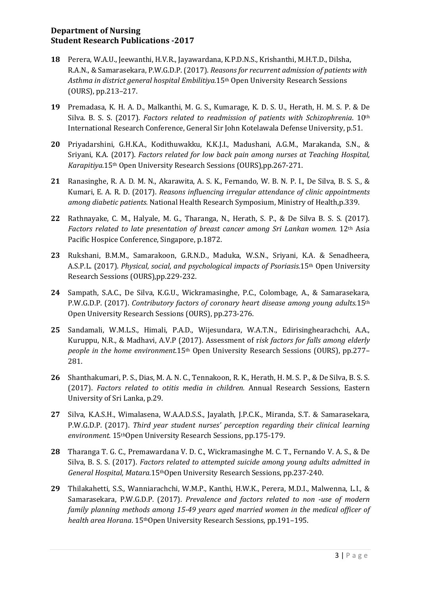# **Department of Nursing Student Research Publications -2017**

- **18** Perera, W.A.U., Jeewanthi, H.V.R., Jayawardana, K.P.D.N.S., Krishanthi, M.H.T.D., Dilsha, R.A.N., & Samarasekara, P.W.G.D.P. (2017). *Reasons for recurrent admission of patients with Asthma in district general hospital Embilitiya.*15th Open University Research Sessions (OURS), pp.213–217.
- **19** Premadasa, K. H. A. D., Malkanthi, M. G. S., Kumarage, K. D. S. U., Herath, H. M. S. P. & De Silva. B. S. S. (2017). *Factors related to readmission of patients with Schizophrenia*. 10th International Research Conference, General Sir John Kotelawala Defense University, p.51.
- **20** Priyadarshini, G.H.K.A., Kodithuwakku, K.K.J.I., Madushani, A.G.M., Marakanda, S.N., & Sriyani, K.A. (2017). *Factors related for low back pain among nurses at Teaching Hospital, Karapitiya.*15th Open University Research Sessions (OURS),pp.267-271.
- **21** Ranasinghe, R. A. D. M. N., Akarawita, A. S. K., Fernando, W. B. N. P. I., De Silva, B. S. S., & Kumari, E. A. R. D. (2017). *Reasons influencing irregular attendance of clinic appointments among diabetic patients.* National Health Research Symposium, Ministry of Health,p.339.
- **22** Rathnayake, C. M., Halyale, M. G., Tharanga, N., Herath, S. P., & De Silva B. S. S. (2017). *Factors related to late presentation of breast cancer among Sri Lankan women.* 12th Asia Pacific Hospice Conference, Singapore, p.1872.
- **23** Rukshani, B.M.M., Samarakoon, G.R.N.D., Maduka, W.S.N., Sriyani, K.A. & Senadheera, A.S.P.L. (2017). *Physical, social, and psychological impacts of Psoriasis.*15th Open University Research Sessions (OURS),pp.229-232.
- **24** Sampath, S.A.C., De Silva, K.G.U., Wickramasinghe, P.C., Colombage, A., & Samarasekara, P.W.G.D.P. (2017). *Contributory factors of coronary heart disease among young adults.*15th Open University Research Sessions (OURS), pp.273-276.
- **25** Sandamali, W.M.L.S., Himali, P.A.D., Wijesundara, W.A.T.N., Edirisinghearachchi, A.A., Kuruppu, N.R., & Madhavi, A.V.P (2017). Assessment of r*isk factors for falls among elderly people in the home environment.*15th Open University Research Sessions (OURS), pp.277– 281.
- **26** Shanthakumari, P. S., Dias, M. A. N. C., Tennakoon, R. K., Herath, H. M. S. P., & De Silva, B. S. S. (2017). *Factors related to otitis media in children.* Annual Research Sessions, Eastern University of Sri Lanka, p.29.
- **27** Silva, K.A.S.H., Wimalasena, W.A.A.D.S.S., Jayalath, J.P.C.K., Miranda, S.T. & Samarasekara, P.W.G.D.P. (2017). *Third year student nurses' perception regarding their clinical learning environment.* 15thOpen University Research Sessions, pp.175-179.
- **28** Tharanga T. G. C., Premawardana V. D. C., Wickramasinghe M. C. T., Fernando V. A. S., & De Silva, B. S. S. (2017). *Factors related to attempted suicide among young adults admitted in General Hospital, Matara.*15thOpen University Research Sessions, pp.237-240.
- **29** Thilakahetti, S.S., Wanniarachchi, W.M.P., Kanthi, H.W.K., Perera, M.D.I., Malwenna, L.I., & Samarasekara, P.W.G.D.P. (2017). *Prevalence and factors related to non -use of modern family planning methods among 15-49 years aged married women in the medical officer of health area Horana*. 15thOpen University Research Sessions, pp.191–195.